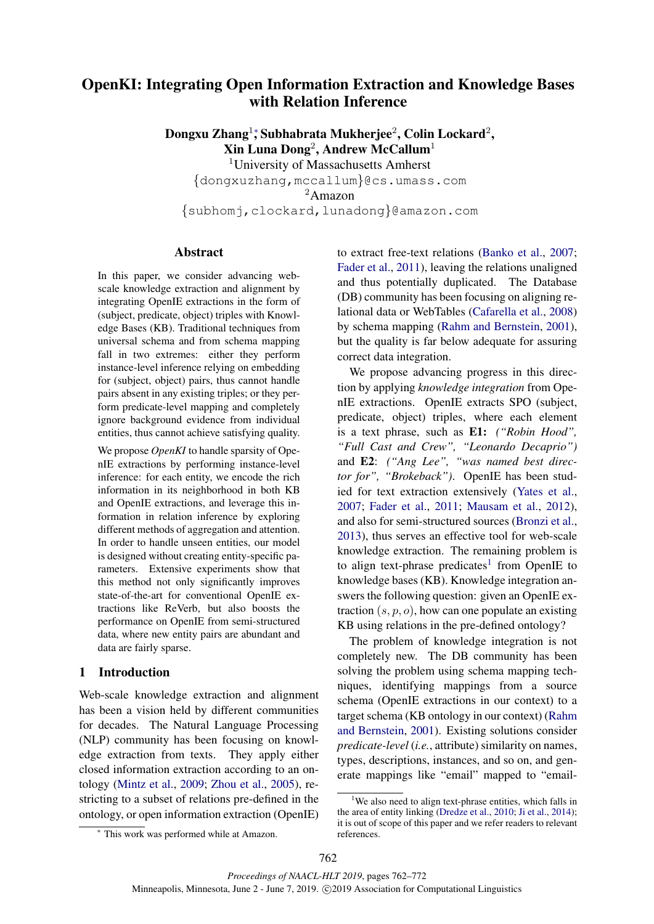# OpenKI: Integrating Open Information Extraction and Knowledge Bases with Relation Inference

Dongxu Zhang<sup>1</sup>; Subhabrata Mukherjee<sup>2</sup>, Colin Lockard<sup>2</sup>,  $\mathbf{X}$ in Luna Dong $^2$ , Andrew McCallum $^1$ <sup>1</sup>University of Massachusetts Amherst {dongxuzhang,mccallum}@cs.umass.com <sup>2</sup>Amazon {subhomj,clockard,lunadong}@amazon.com

# Abstract

In this paper, we consider advancing webscale knowledge extraction and alignment by integrating OpenIE extractions in the form of (subject, predicate, object) triples with Knowledge Bases (KB). Traditional techniques from universal schema and from schema mapping fall in two extremes: either they perform instance-level inference relying on embedding for (subject, object) pairs, thus cannot handle pairs absent in any existing triples; or they perform predicate-level mapping and completely ignore background evidence from individual entities, thus cannot achieve satisfying quality.

We propose *OpenKI* to handle sparsity of OpenIE extractions by performing instance-level inference: for each entity, we encode the rich information in its neighborhood in both KB and OpenIE extractions, and leverage this information in relation inference by exploring different methods of aggregation and attention. In order to handle unseen entities, our model is designed without creating entity-specific parameters. Extensive experiments show that this method not only significantly improves state-of-the-art for conventional OpenIE extractions like ReVerb, but also boosts the performance on OpenIE from semi-structured data, where new entity pairs are abundant and data are fairly sparse.

## 1 Introduction

Web-scale knowledge extraction and alignment has been a vision held by different communities for decades. The Natural Language Processing (NLP) community has been focusing on knowledge extraction from texts. They apply either closed information extraction according to an ontology [\(Mintz et al.,](#page-9-0) [2009;](#page-9-0) [Zhou et al.,](#page-10-0) [2005\)](#page-10-0), restricting to a subset of relations pre-defined in the ontology, or open information extraction (OpenIE) to extract free-text relations [\(Banko et al.,](#page-9-1) [2007;](#page-9-1) [Fader et al.,](#page-9-2) [2011\)](#page-9-2), leaving the relations unaligned and thus potentially duplicated. The Database (DB) community has been focusing on aligning relational data or WebTables [\(Cafarella et al.,](#page-9-3) [2008\)](#page-9-3) by schema mapping [\(Rahm and Bernstein,](#page-9-4) [2001\)](#page-9-4), but the quality is far below adequate for assuring correct data integration.

We propose advancing progress in this direction by applying *knowledge integration* from OpenIE extractions. OpenIE extracts SPO (subject, predicate, object) triples, where each element is a text phrase, such as E1: *("Robin Hood", "Full Cast and Crew", "Leonardo Decaprio")* and E2: *("Ang Lee", "was named best director for", "Brokeback")*. OpenIE has been studied for text extraction extensively [\(Yates et al.,](#page-10-1) [2007;](#page-10-1) [Fader et al.,](#page-9-2) [2011;](#page-9-2) [Mausam et al.,](#page-9-5) [2012\)](#page-9-5), and also for semi-structured sources [\(Bronzi et al.,](#page-9-6) [2013\)](#page-9-6), thus serves an effective tool for web-scale knowledge extraction. The remaining problem is to align text-phrase predicates<sup>[1](#page-0-0)</sup> from OpenIE to knowledge bases (KB). Knowledge integration answers the following question: given an OpenIE extraction  $(s, p, o)$ , how can one populate an existing KB using relations in the pre-defined ontology?

The problem of knowledge integration is not completely new. The DB community has been solving the problem using schema mapping techniques, identifying mappings from a source schema (OpenIE extractions in our context) to a target schema (KB ontology in our context) [\(Rahm](#page-9-4) [and Bernstein,](#page-9-4) [2001\)](#page-9-4). Existing solutions consider *predicate-level* (*i.e.*, attribute) similarity on names, types, descriptions, instances, and so on, and generate mappings like "email" mapped to "email-

<span id="page-0-0"></span><sup>&</sup>lt;sup>1</sup>We also need to align text-phrase entities, which falls in the area of entity linking [\(Dredze et al.,](#page-9-7) [2010;](#page-9-7) [Ji et al.,](#page-9-8) [2014\)](#page-9-8); it is out of scope of this paper and we refer readers to relevant references.

<sup>∗</sup> This work was performed while at Amazon.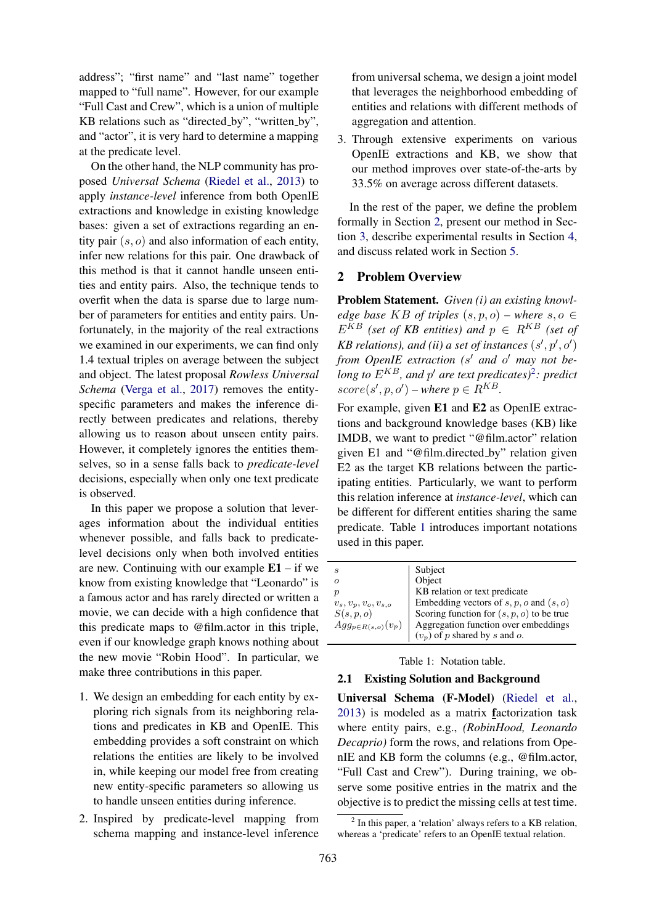address"; "first name" and "last name" together mapped to "full name". However, for our example "Full Cast and Crew", which is a union of multiple KB relations such as "directed\_by", "written\_by", and "actor", it is very hard to determine a mapping at the predicate level.

On the other hand, the NLP community has proposed *Universal Schema* [\(Riedel et al.,](#page-9-9) [2013\)](#page-9-9) to apply *instance-level* inference from both OpenIE extractions and knowledge in existing knowledge bases: given a set of extractions regarding an entity pair  $(s, o)$  and also information of each entity, infer new relations for this pair. One drawback of this method is that it cannot handle unseen entities and entity pairs. Also, the technique tends to overfit when the data is sparse due to large number of parameters for entities and entity pairs. Unfortunately, in the majority of the real extractions we examined in our experiments, we can find only 1.4 textual triples on average between the subject and object. The latest proposal *Rowless Universal Schema* [\(Verga et al.,](#page-10-2) [2017\)](#page-10-2) removes the entityspecific parameters and makes the inference directly between predicates and relations, thereby allowing us to reason about unseen entity pairs. However, it completely ignores the entities themselves, so in a sense falls back to *predicate-level* decisions, especially when only one text predicate is observed.

In this paper we propose a solution that leverages information about the individual entities whenever possible, and falls back to predicatelevel decisions only when both involved entities are new. Continuing with our example  $E1 - if$  we know from existing knowledge that "Leonardo" is a famous actor and has rarely directed or written a movie, we can decide with a high confidence that this predicate maps to @film.actor in this triple, even if our knowledge graph knows nothing about the new movie "Robin Hood". In particular, we make three contributions in this paper.

- 1. We design an embedding for each entity by exploring rich signals from its neighboring relations and predicates in KB and OpenIE. This embedding provides a soft constraint on which relations the entities are likely to be involved in, while keeping our model free from creating new entity-specific parameters so allowing us to handle unseen entities during inference.
- 2. Inspired by predicate-level mapping from schema mapping and instance-level inference

from universal schema, we design a joint model that leverages the neighborhood embedding of entities and relations with different methods of aggregation and attention.

3. Through extensive experiments on various OpenIE extractions and KB, we show that our method improves over state-of-the-arts by 33.5% on average across different datasets.

In the rest of the paper, we define the problem formally in Section [2,](#page-1-0) present our method in Section [3,](#page-2-0) describe experimental results in Section [4,](#page-4-0) and discuss related work in Section [5.](#page-8-0)

## <span id="page-1-0"></span>2 Problem Overview

Problem Statement. *Given (i) an existing knowledge base*  $KB$  *of triples*  $(s, p, o)$  *– where*  $s, o \in$  $E^{KB}$  *(set of KB entities) and*  $p \in R^{KB}$  *(set of KB relations), and (ii) a set of instances*  $(s', p', o')$ from OpenIE extraction (s' and o' may not belong to  $E^{KB}$ , and  $p'$  are text predicates)<sup>[2](#page-1-1)</sup>: predict  $score(s', p, o')$  – where  $p \in R^{KB}$ .

For example, given E1 and E2 as OpenIE extractions and background knowledge bases (KB) like IMDB, we want to predict "@film.actor" relation given E1 and "@film.directed by" relation given E2 as the target KB relations between the participating entities. Particularly, we want to perform this relation inference at *instance-level*, which can be different for different entities sharing the same predicate. Table [1](#page-1-2) introduces important notations used in this paper.

<span id="page-1-2"></span>

| S                        | Subject<br>Object                           |
|--------------------------|---------------------------------------------|
|                          |                                             |
|                          | KB relation or text predicate               |
| $v_s, v_p, v_o, v_{s,o}$ | Embedding vectors of $s, p, o$ and $(s, o)$ |
| S(s,p,o)                 | Scoring function for $(s, p, o)$ to be true |
| $Agg_{p\in R(s,o)}(v_p)$ | Aggregation function over embeddings        |
|                          | $(v_p)$ of p shared by s and o.             |

Table 1: Notation table.

# <span id="page-1-3"></span>2.1 Existing Solution and Background

Universal Schema (F-Model) [\(Riedel et al.,](#page-9-9) [2013\)](#page-9-9) is modeled as a matrix factorization task where entity pairs, e.g., *(RobinHood, Leonardo Decaprio)* form the rows, and relations from OpenIE and KB form the columns (e.g., @film.actor, "Full Cast and Crew"). During training, we observe some positive entries in the matrix and the objective is to predict the missing cells at test time.

<span id="page-1-1"></span><sup>&</sup>lt;sup>2</sup> In this paper, a 'relation' always refers to a KB relation, whereas a 'predicate' refers to an OpenIE textual relation.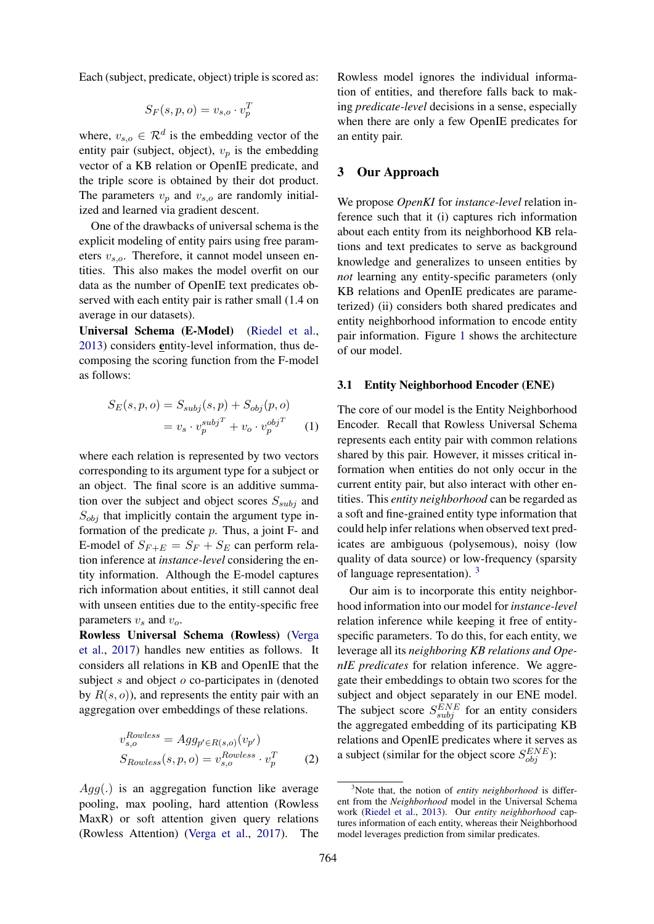Each (subject, predicate, object) triple is scored as:

$$
S_F(s, p, o) = v_{s, o} \cdot v_p^T
$$

where,  $v_{s,o} \in \mathcal{R}^d$  is the embedding vector of the entity pair (subject, object),  $v_p$  is the embedding vector of a KB relation or OpenIE predicate, and the triple score is obtained by their dot product. The parameters  $v_p$  and  $v_{s,o}$  are randomly initialized and learned via gradient descent.

One of the drawbacks of universal schema is the explicit modeling of entity pairs using free parameters  $v_{s,o}$ . Therefore, it cannot model unseen entities. This also makes the model overfit on our data as the number of OpenIE text predicates observed with each entity pair is rather small (1.4 on average in our datasets).

Universal Schema (E-Model) [\(Riedel et al.,](#page-9-9) [2013\)](#page-9-9) considers entity-level information, thus decomposing the scoring function from the F-model as follows:

$$
S_E(s, p, o) = S_{subj}(s, p) + S_{obj}(p, o)
$$

$$
= v_s \cdot v_p^{subjT} + v_o \cdot v_p^{objT}
$$
 (1)

where each relation is represented by two vectors corresponding to its argument type for a subject or an object. The final score is an additive summation over the subject and object scores  $S_{subj}$  and  $S_{obj}$  that implicitly contain the argument type information of the predicate  $p$ . Thus, a joint  $F-$  and E-model of  $S_{F+E} = S_F + S_E$  can perform relation inference at *instance-level* considering the entity information. Although the E-model captures rich information about entities, it still cannot deal with unseen entities due to the entity-specific free parameters  $v_s$  and  $v_o$ .

Rowless Universal Schema (Rowless) [\(Verga](#page-10-2) [et al.,](#page-10-2) [2017\)](#page-10-2) handles new entities as follows. It considers all relations in KB and OpenIE that the subject s and object o co-participates in (denoted by  $R(s, o)$ , and represents the entity pair with an aggregation over embeddings of these relations.

$$
v_{s,o}^{Rowless} = Agg_{p' \in R(s,o)}(v_{p'})
$$
  
\n
$$
S_{Rowless}(s, p, o) = v_{s,o}^{Rowless} \cdot v_p^T
$$
 (2)

 $Agg(.)$  is an aggregation function like average pooling, max pooling, hard attention (Rowless MaxR) or soft attention given query relations (Rowless Attention) [\(Verga et al.,](#page-10-2) [2017\)](#page-10-2). The

Rowless model ignores the individual information of entities, and therefore falls back to making *predicate-level* decisions in a sense, especially when there are only a few OpenIE predicates for an entity pair.

## <span id="page-2-0"></span>3 Our Approach

We propose *OpenKI* for *instance-level* relation inference such that it (i) captures rich information about each entity from its neighborhood KB relations and text predicates to serve as background knowledge and generalizes to unseen entities by *not* learning any entity-specific parameters (only KB relations and OpenIE predicates are parameterized) (ii) considers both shared predicates and entity neighborhood information to encode entity pair information. Figure [1](#page-3-0) shows the architecture of our model.

#### 3.1 Entity Neighborhood Encoder (ENE)

The core of our model is the Entity Neighborhood Encoder. Recall that Rowless Universal Schema represents each entity pair with common relations shared by this pair. However, it misses critical information when entities do not only occur in the current entity pair, but also interact with other entities. This *entity neighborhood* can be regarded as a soft and fine-grained entity type information that could help infer relations when observed text predicates are ambiguous (polysemous), noisy (low quality of data source) or low-frequency (sparsity of language representation). [3](#page-2-1)

Our aim is to incorporate this entity neighborhood information into our model for *instance-level* relation inference while keeping it free of entityspecific parameters. To do this, for each entity, we leverage all its *neighboring KB relations and OpenIE predicates* for relation inference. We aggregate their embeddings to obtain two scores for the subject and object separately in our ENE model. The subject score  $S_{subj}^{ENE}$  for an entity considers the aggregated embedding of its participating KB relations and OpenIE predicates where it serves as a subject (similar for the object score  $S_{obj}^{ENE}$ ):

<span id="page-2-1"></span><sup>3</sup>Note that, the notion of *entity neighborhood* is different from the *Neighborhood* model in the Universal Schema work [\(Riedel et al.,](#page-9-9) [2013\)](#page-9-9). Our *entity neighborhood* captures information of each entity, whereas their Neighborhood model leverages prediction from similar predicates.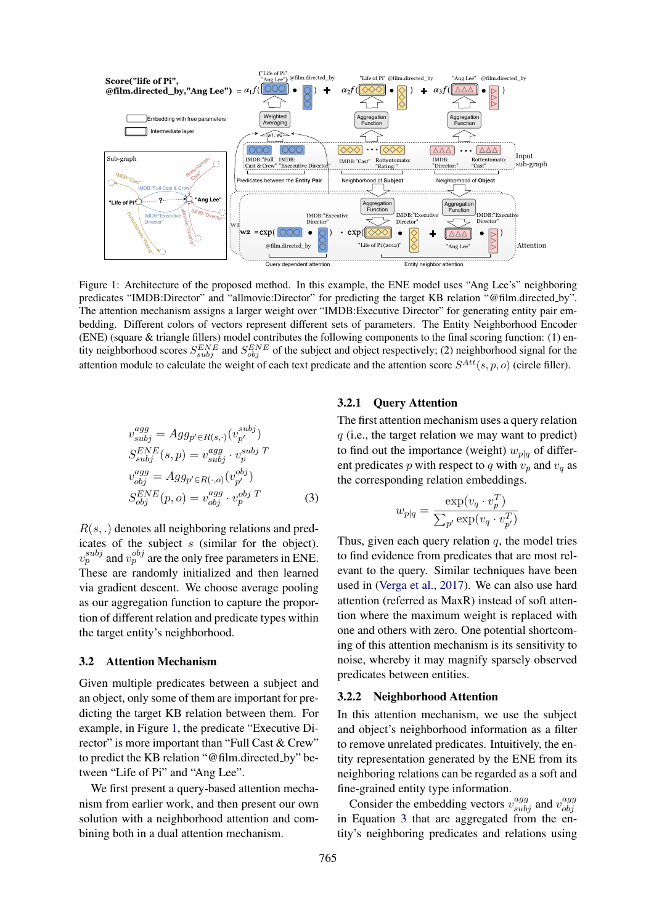<span id="page-3-0"></span>

Figure 1: Architecture of the proposed method. In this example, the ENE model uses "Ang Lee's" neighboring predicates "IMDB:Director" and "allmovie:Director" for predicting the target KB relation "@film.directed by". The attention mechanism assigns a larger weight over "IMDB:Executive Director" for generating entity pair embedding. Different colors of vectors represent different sets of parameters. The Entity Neighborhood Encoder (ENE) (square & triangle fillers) model contributes the following components to the final scoring function: (1) entity neighborhood scores  $S_{subj}^{ENE}$  and  $S_{obj}^{ENE}$  of the subject and object respectively; (2) neighborhood signal for the attention module to calculate the weight of each text predicate and the attention score  $S^{Att}(s, p, o)$  (circle filler).

$$
v_{subj}^{agg} = Agg_{p' \in R(s,\cdot)}(v_{p'}^{subj})
$$
  
\n
$$
S_{subj}^{ENE}(s,p) = v_{subj}^{agg} \cdot v_p^{subj T}
$$
  
\n
$$
v_{obj}^{agg} = Agg_{p' \in R(\cdot,o)}(v_{p'}^{obj})
$$
  
\n
$$
S_{obj}^{ENE}(p,o) = v_{obj}^{agg} \cdot v_p^{obj T}
$$
 (3)

 $R(s,.)$  denotes all neighboring relations and predicates of the subject s (similar for the object).  $v_p^{subj}$  and  $v_p^{obj}$  are the only free parameters in ENE. These are randomly initialized and then learned via gradient descent. We choose average pooling as our aggregation function to capture the proportion of different relation and predicate types within the target entity's neighborhood.

#### 3.2 Attention Mechanism

Given multiple predicates between a subject and an object, only some of them are important for predicting the target KB relation between them. For example, in Figure [1,](#page-3-0) the predicate "Executive Director" is more important than "Full Cast & Crew" to predict the KB relation "@film.directed\_by" between "Life of Pi" and "Ang Lee".

We first present a query-based attention mechanism from earlier work, and then present our own solution with a neighborhood attention and combining both in a dual attention mechanism.

# 3.2.1 Query Attention

The first attention mechanism uses a query relation  $q$  (i.e., the target relation we may want to predict) to find out the importance (weight)  $w_{p|q}$  of different predicates p with respect to q with  $v_p$  and  $v_q$  as the corresponding relation embeddings.

$$
w_{p|q} = \frac{\exp(v_q \cdot v_p^T)}{\sum_{p'} \exp(v_q \cdot v_{p'}^T)}
$$

<span id="page-3-1"></span>Thus, given each query relation  $q$ , the model tries to find evidence from predicates that are most relevant to the query. Similar techniques have been used in [\(Verga et al.,](#page-10-2) [2017\)](#page-10-2). We can also use hard attention (referred as MaxR) instead of soft attention where the maximum weight is replaced with one and others with zero. One potential shortcoming of this attention mechanism is its sensitivity to noise, whereby it may magnify sparsely observed predicates between entities.

#### 3.2.2 Neighborhood Attention

In this attention mechanism, we use the subject and object's neighborhood information as a filter to remove unrelated predicates. Intuitively, the entity representation generated by the ENE from its neighboring relations can be regarded as a soft and fine-grained entity type information.

Consider the embedding vectors  $v_{subj}^{agg}$  and  $v_{obj}^{agg}$ obj in Equation [3](#page-3-1) that are aggregated from the entity's neighboring predicates and relations using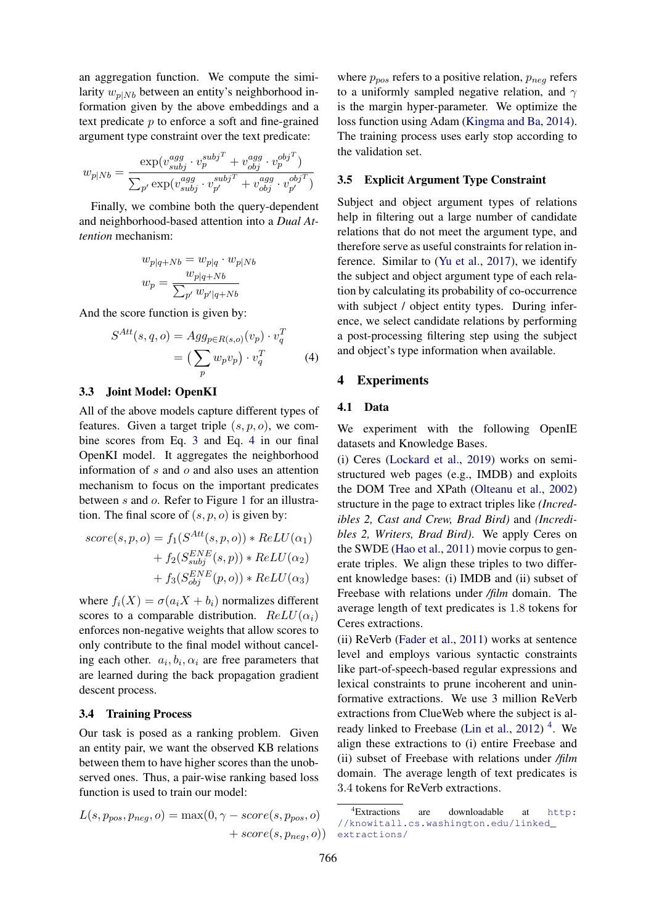an aggregation function. We compute the similarity  $w_{p|Nb}$  between an entity's neighborhood information given by the above embeddings and a text predicate  $p$  to enforce a soft and fine-grained argument type constraint over the text predicate:

$$
w_{p|Nb} = \frac{\exp(v_{subj}^{agg} \cdot v_p^{subjT} + v_{obj}^{agg} \cdot v_p^{obj^T})}{\sum_{p'} \exp(v_{subj}^{agg} \cdot v_{p'}^{subjT} + v_{obj}^{agg} \cdot v_{p'}^{obj^T})}
$$

Finally, we combine both the query-dependent and neighborhood-based attention into a *Dual Attention* mechanism:

$$
w_{p|q+Nb} = w_{p|q} \cdot w_{p|Nb}
$$

$$
w_p = \frac{w_{p|q+Nb}}{\sum_{p'} w_{p'|q+Nb}}
$$

And the score function is given by:

$$
S^{Att}(s, q, o) = Agg_{p \in R(s, o)}(v_p) \cdot v_q^T
$$

$$
= \left(\sum_p w_p v_p\right) \cdot v_q^T \tag{4}
$$

#### 3.3 Joint Model: OpenKI

All of the above models capture different types of features. Given a target triple  $(s, p, o)$ , we combine scores from Eq. [3](#page-3-1) and Eq. [4](#page-4-1) in our final OpenKI model. It aggregates the neighborhood information of  $s$  and  $o$  and also uses an attention mechanism to focus on the important predicates between s and o. Refer to Figure [1](#page-3-0) for an illustration. The final score of  $(s, p, o)$  is given by:

$$
score(s, p, o) = f_1(S^{Att}(s, p, o)) * ReLU(\alpha_1)
$$
  
+ 
$$
f_2(S_{subj}^{ENE}(s, p)) * ReLU(\alpha_2)
$$
  
+ 
$$
f_3(S_{obj}^{ENE}(p, o)) * ReLU(\alpha_3)
$$

where  $f_i(X) = \sigma(a_i X + b_i)$  normalizes different scores to a comparable distribution.  $ReLU(\alpha_i)$ enforces non-negative weights that allow scores to only contribute to the final model without canceling each other.  $a_i, b_i, \alpha_i$  are free parameters that are learned during the back propagation gradient descent process.

#### 3.4 Training Process

Our task is posed as a ranking problem. Given an entity pair, we want the observed KB relations between them to have higher scores than the unobserved ones. Thus, a pair-wise ranking based loss function is used to train our model:

$$
L(s, p_{pos}, p_{neg}, o) = \max(0, \gamma - score(s, p_{pos}, o) + score(s, p_{neg}, o))
$$

where  $p_{pos}$  refers to a positive relation,  $p_{neg}$  refers to a uniformly sampled negative relation, and  $\gamma$ is the margin hyper-parameter. We optimize the loss function using Adam [\(Kingma and Ba,](#page-9-10) [2014\)](#page-9-10). The training process uses early stop according to the validation set.

#### <span id="page-4-3"></span>3.5 Explicit Argument Type Constraint

Subject and object argument types of relations help in filtering out a large number of candidate relations that do not meet the argument type, and therefore serve as useful constraints for relation inference. Similar to [\(Yu et al.,](#page-10-3) [2017\)](#page-10-3), we identify the subject and object argument type of each relation by calculating its probability of co-occurrence with subject / object entity types. During inference, we select candidate relations by performing a post-processing filtering step using the subject and object's type information when available.

## <span id="page-4-1"></span><span id="page-4-0"></span>4 Experiments

# 4.1 Data

We experiment with the following OpenIE datasets and Knowledge Bases.

(i) Ceres [\(Lockard et al.,](#page-9-11) [2019\)](#page-9-11) works on semistructured web pages (e.g., IMDB) and exploits the DOM Tree and XPath [\(Olteanu et al.,](#page-9-12) [2002\)](#page-9-12) structure in the page to extract triples like *(Incredibles 2, Cast and Crew, Brad Bird)* and *(Incredibles 2, Writers, Brad Bird)*. We apply Ceres on the SWDE [\(Hao et al.,](#page-9-13) [2011\)](#page-9-13) movie corpus to generate triples. We align these triples to two different knowledge bases: (i) IMDB and (ii) subset of Freebase with relations under */film* domain. The average length of text predicates is 1.8 tokens for Ceres extractions.

(ii) ReVerb [\(Fader et al.,](#page-9-2) [2011\)](#page-9-2) works at sentence level and employs various syntactic constraints like part-of-speech-based regular expressions and lexical constraints to prune incoherent and uninformative extractions. We use 3 million ReVerb extractions from ClueWeb where the subject is al-ready linked to Freebase [\(Lin et al.,](#page-9-14) [2012\)](#page-9-14)<sup>[4](#page-4-2)</sup>. We align these extractions to (i) entire Freebase and (ii) subset of Freebase with relations under */film* domain. The average length of text predicates is 3.4 tokens for ReVerb extractions.

<span id="page-4-2"></span><sup>4</sup>Extractions are downloadable at [http:](http://knowitall.cs.washington.edu/linked_extractions/) [//knowitall.cs.washington.edu/linked\\_](http://knowitall.cs.washington.edu/linked_extractions/) [extractions/](http://knowitall.cs.washington.edu/linked_extractions/)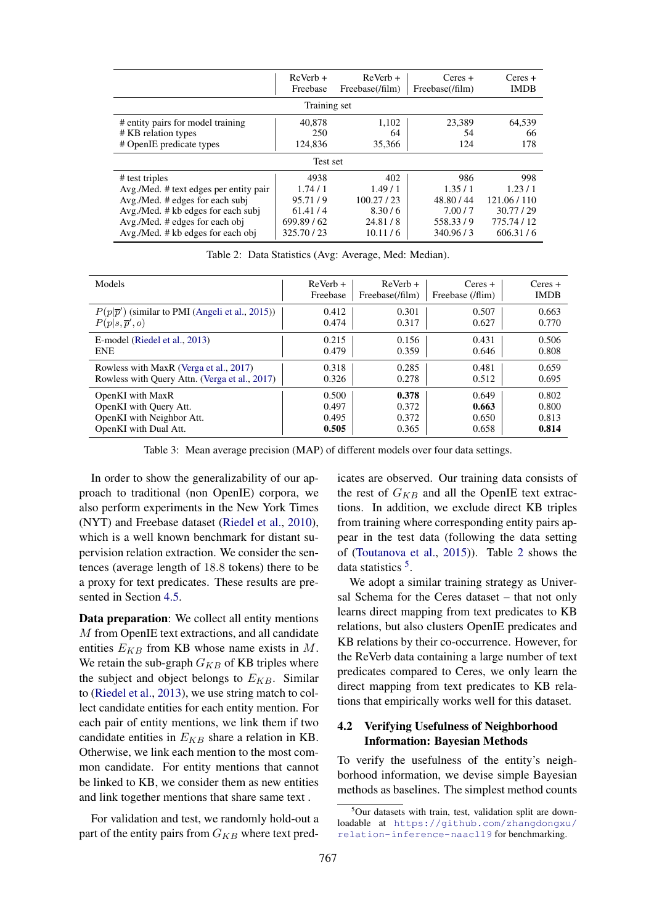<span id="page-5-0"></span>

|                                        | $ReVerb +$ | $ReVerb +$      | $Ceres +$       | $Ceres +$   |
|----------------------------------------|------------|-----------------|-----------------|-------------|
|                                        | Freebase   | Freebase(/film) | Freebase(/film) | <b>IMDB</b> |
| Training set                           |            |                 |                 |             |
| # entity pairs for model training      | 40.878     | 1.102           | 23.389          | 64.539      |
| # KB relation types                    | 250        | 64              | 54              | 66          |
| # OpenIE predicate types               | 124.836    | 35,366          | 124             | 178         |
| Test set                               |            |                 |                 |             |
| # test triples                         | 4938       | 402             | 986             | 998         |
| Avg./Med. # text edges per entity pair | 1.74/1     | 1.49/1          | 1.35/1          | 1.23/1      |
| Avg./Med. # edges for each subj        | 95.71/9    | 100.27/23       | 48.80/44        | 121.06/110  |
| Avg./Med. # kb edges for each subj     | 61.41/4    | 8.30/6          | 7.00/7          | 30.77/29    |
| Avg./Med. # edges for each obj         | 699.89/62  | 24.81/8         | 558.33/9        | 775.74 / 12 |
| $Avg./Med.$ # kb edges for each obj    | 325.70/23  | 10.11/6         | 340.96 / 3      | 606.31/6    |

Table 2: Data Statistics (Avg: Average, Med: Median).

<span id="page-5-3"></span>

| Models                                                      | $ReVerb +$ | $ReVerb +$      | $Ceres +$        | $Ceres +$   |
|-------------------------------------------------------------|------------|-----------------|------------------|-------------|
|                                                             | Freebase   | Freebase(/film) | Freebase (/flim) | <b>IMDB</b> |
| $P(p \overline{p}')$ (similar to PMI (Angeli et al., 2015)) | 0.412      | 0.301           | 0.507            | 0.663       |
| $P(p s,\overline{p}',o)$                                    | 0.474      | 0.317           | 0.627            | 0.770       |
| E-model (Riedel et al., 2013)                               | 0.215      | 0.156           | 0.431            | 0.506       |
| <b>ENE</b>                                                  | 0.479      | 0.359           | 0.646            | 0.808       |
| Rowless with MaxR (Verga et al., 2017)                      | 0.318      | 0.285           | 0.481            | 0.659       |
| Rowless with Query Attn. (Verga et al., 2017)               | 0.326      | 0.278           | 0.512            | 0.695       |
| OpenKI with MaxR                                            | 0.500      | 0.378           | 0.649            | 0.802       |
| OpenKI with Query Att.                                      | 0.497      | 0.372           | 0.663            | 0.800       |
| OpenKI with Neighbor Att.                                   | 0.495      | 0.372           | 0.650            | 0.813       |
| OpenKI with Dual Att.                                       | 0.505      | 0.365           | 0.658            | 0.814       |

Table 3: Mean average precision (MAP) of different models over four data settings.

In order to show the generalizability of our approach to traditional (non OpenIE) corpora, we also perform experiments in the New York Times (NYT) and Freebase dataset [\(Riedel et al.,](#page-9-16) [2010\)](#page-9-16), which is a well known benchmark for distant supervision relation extraction. We consider the sentences (average length of 18.8 tokens) there to be a proxy for text predicates. These results are presented in Section [4.5.](#page-7-0)

Data preparation: We collect all entity mentions M from OpenIE text extractions, and all candidate entities  $E_{KB}$  from KB whose name exists in M. We retain the sub-graph  $G_{KB}$  of KB triples where the subject and object belongs to  $E_{KB}$ . Similar to [\(Riedel et al.,](#page-9-9) [2013\)](#page-9-9), we use string match to collect candidate entities for each entity mention. For each pair of entity mentions, we link them if two candidate entities in  $E_{KB}$  share a relation in KB. Otherwise, we link each mention to the most common candidate. For entity mentions that cannot be linked to KB, we consider them as new entities and link together mentions that share same text .

For validation and test, we randomly hold-out a part of the entity pairs from  $G_{KB}$  where text pred-

icates are observed. Our training data consists of the rest of  $G_{KB}$  and all the OpenIE text extractions. In addition, we exclude direct KB triples from training where corresponding entity pairs appear in the test data (following the data setting of [\(Toutanova et al.,](#page-10-4) [2015\)](#page-10-4)). Table [2](#page-5-0) shows the data statistics<sup>[5](#page-5-1)</sup>.

We adopt a similar training strategy as Universal Schema for the Ceres dataset – that not only learns direct mapping from text predicates to KB relations, but also clusters OpenIE predicates and KB relations by their co-occurrence. However, for the ReVerb data containing a large number of text predicates compared to Ceres, we only learn the direct mapping from text predicates to KB relations that empirically works well for this dataset.

## <span id="page-5-2"></span>4.2 Verifying Usefulness of Neighborhood Information: Bayesian Methods

To verify the usefulness of the entity's neighborhood information, we devise simple Bayesian methods as baselines. The simplest method counts

<span id="page-5-1"></span> $5$ Our datasets with train, test, validation split are downloadable at [https://github.com/zhangdongxu/](https://github.com/zhangdongxu/relation-inference-naacl19) [relation-inference-naacl19](https://github.com/zhangdongxu/relation-inference-naacl19) for benchmarking.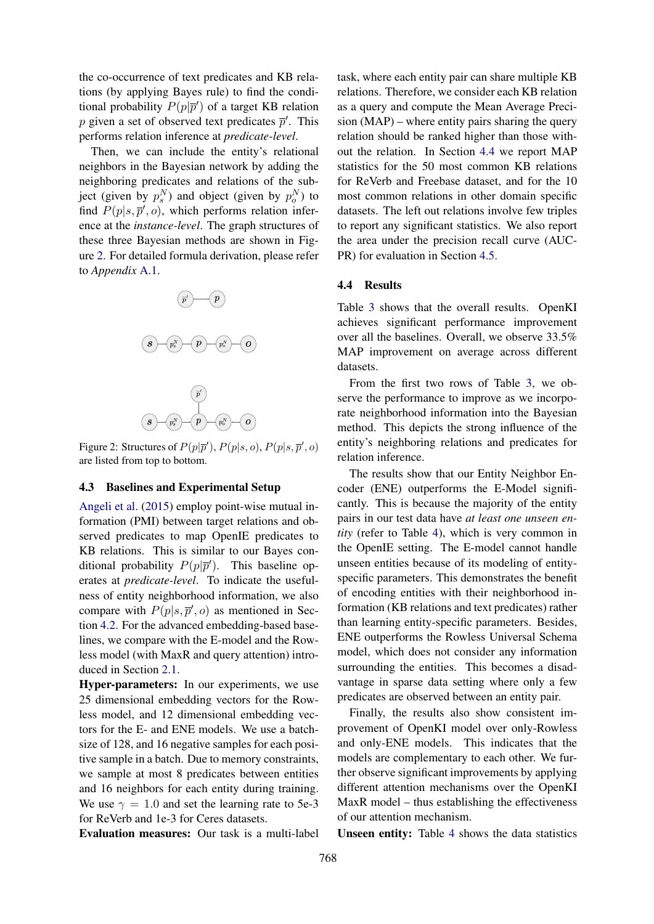the co-occurrence of text predicates and KB relations (by applying Bayes rule) to find the conditional probability  $P(p|\overline{p}')$  of a target KB relation p given a set of observed text predicates  $\bar{p}'$ . This performs relation inference at *predicate-level*.

Then, we can include the entity's relational neighbors in the Bayesian network by adding the neighboring predicates and relations of the subject (given by  $p_s^N$ ) and object (given by  $p_o^N$ ) to find  $P(p|s, \overline{p}', o)$ , which performs relation inference at the *instance-level*. The graph structures of these three Bayesian methods are shown in Figure [2.](#page-6-0) For detailed formula derivation, please refer to *Appendix* [A.1.](#page-10-5)

<span id="page-6-0"></span>

Figure 2: Structures of  $P(p|\overline{p}')$ ,  $P(p|s, o)$ ,  $P(p|s, \overline{p}', o)$ are listed from top to bottom.

#### 4.3 Baselines and Experimental Setup

[Angeli et al.](#page-9-15) [\(2015\)](#page-9-15) employ point-wise mutual information (PMI) between target relations and observed predicates to map OpenIE predicates to KB relations. This is similar to our Bayes conditional probability  $P(p|\overline{p}')$ . This baseline operates at *predicate-level*. To indicate the usefulness of entity neighborhood information, we also compare with  $P(p|s, \overline{p}', o)$  as mentioned in Section [4.2.](#page-5-2) For the advanced embedding-based baselines, we compare with the E-model and the Rowless model (with MaxR and query attention) introduced in Section [2.1.](#page-1-3)

Hyper-parameters: In our experiments, we use 25 dimensional embedding vectors for the Rowless model, and 12 dimensional embedding vectors for the E- and ENE models. We use a batchsize of 128, and 16 negative samples for each positive sample in a batch. Due to memory constraints, we sample at most 8 predicates between entities and 16 neighbors for each entity during training. We use  $\gamma = 1.0$  and set the learning rate to 5e-3 for ReVerb and 1e-3 for Ceres datasets.

Evaluation measures: Our task is a multi-label

task, where each entity pair can share multiple KB relations. Therefore, we consider each KB relation as a query and compute the Mean Average Precision (MAP) – where entity pairs sharing the query relation should be ranked higher than those without the relation. In Section [4.4](#page-6-1) we report MAP statistics for the 50 most common KB relations for ReVerb and Freebase dataset, and for the 10 most common relations in other domain specific datasets. The left out relations involve few triples to report any significant statistics. We also report the area under the precision recall curve (AUC-PR) for evaluation in Section [4.5.](#page-7-0)

#### <span id="page-6-1"></span>4.4 Results

Table [3](#page-5-3) shows that the overall results. OpenKI achieves significant performance improvement over all the baselines. Overall, we observe 33.5% MAP improvement on average across different datasets.

From the first two rows of Table [3,](#page-5-3) we observe the performance to improve as we incorporate neighborhood information into the Bayesian method. This depicts the strong influence of the entity's neighboring relations and predicates for relation inference.

The results show that our Entity Neighbor Encoder (ENE) outperforms the E-Model significantly. This is because the majority of the entity pairs in our test data have *at least one unseen entity* (refer to Table [4\)](#page-7-1), which is very common in the OpenIE setting. The E-model cannot handle unseen entities because of its modeling of entityspecific parameters. This demonstrates the benefit of encoding entities with their neighborhood information (KB relations and text predicates) rather than learning entity-specific parameters. Besides, ENE outperforms the Rowless Universal Schema model, which does not consider any information surrounding the entities. This becomes a disadvantage in sparse data setting where only a few predicates are observed between an entity pair.

Finally, the results also show consistent improvement of OpenKI model over only-Rowless and only-ENE models. This indicates that the models are complementary to each other. We further observe significant improvements by applying different attention mechanisms over the OpenKI MaxR model – thus establishing the effectiveness of our attention mechanism.

Unseen entity: Table [4](#page-7-1) shows the data statistics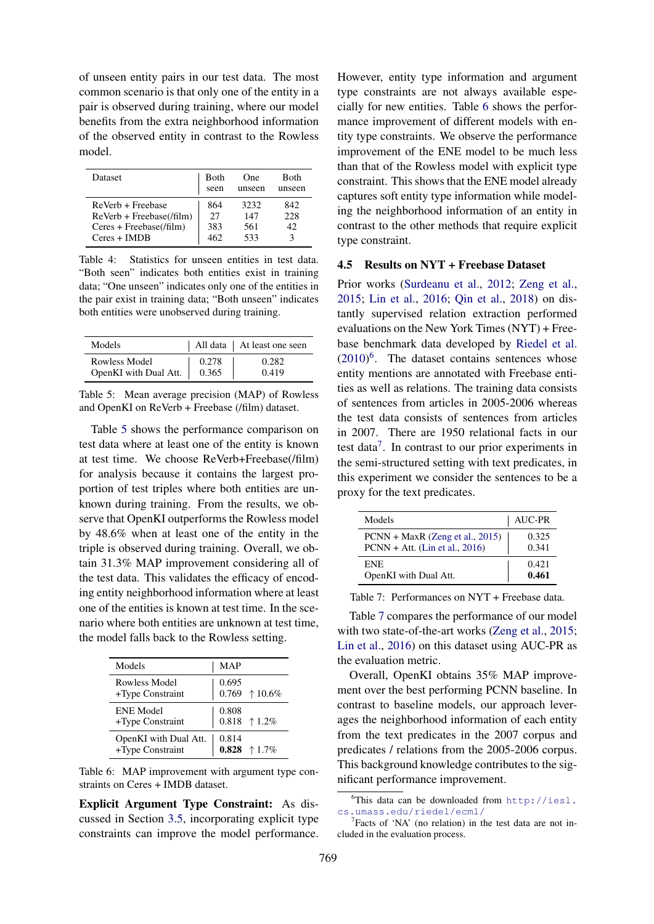of unseen entity pairs in our test data. The most common scenario is that only one of the entity in a pair is observed during training, where our model benefits from the extra neighborhood information of the observed entity in contrast to the Rowless model.

<span id="page-7-1"></span>

| Dataset                  | <b>Both</b> | One    | Both   |
|--------------------------|-------------|--------|--------|
|                          | seen        | unseen | unseen |
| ReVerb + Freebase        | 864         | 3232   | 842    |
| ReVerb + Freebase(/film) | 27          | 147    | 228    |
| Ceres + Freebase(/film)  | 383         | 561    | 42.    |
| $Ceres + IMDR$           |             | 533    | 3      |

Table 4: Statistics for unseen entities in test data. "Both seen" indicates both entities exist in training data; "One unseen" indicates only one of the entities in the pair exist in training data; "Both unseen" indicates both entities were unobserved during training.

<span id="page-7-2"></span>

| Models                |       | All data   At least one seen |
|-----------------------|-------|------------------------------|
| Rowless Model         | 0.278 | 0.282                        |
| OpenKI with Dual Att. | 0.365 | 0.419                        |

Table 5: Mean average precision (MAP) of Rowless and OpenKI on ReVerb + Freebase (/film) dataset.

Table [5](#page-7-2) shows the performance comparison on test data where at least one of the entity is known at test time. We choose ReVerb+Freebase(/film) for analysis because it contains the largest proportion of test triples where both entities are unknown during training. From the results, we observe that OpenKI outperforms the Rowless model by 48.6% when at least one of the entity in the triple is observed during training. Overall, we obtain 31.3% MAP improvement considering all of the test data. This validates the efficacy of encoding entity neighborhood information where at least one of the entities is known at test time. In the scenario where both entities are unknown at test time, the model falls back to the Rowless setting.

<span id="page-7-3"></span>

| Models                | MAP                   |
|-----------------------|-----------------------|
| Rowless Model         | 0.695                 |
| +Type Constraint      | $0.769 + 10.6\%$      |
| <b>ENE Model</b>      | 0.808                 |
| +Type Constraint      | $0.818$   1.2%        |
| OpenKI with Dual Att. | 0.814                 |
| +Type Constraint      | 0.828 $\uparrow$ 1.7% |

Table 6: MAP improvement with argument type constraints on Ceres + IMDB dataset.

Explicit Argument Type Constraint: As discussed in Section [3.5,](#page-4-3) incorporating explicit type constraints can improve the model performance.

However, entity type information and argument type constraints are not always available especially for new entities. Table [6](#page-7-3) shows the performance improvement of different models with entity type constraints. We observe the performance improvement of the ENE model to be much less than that of the Rowless model with explicit type constraint. This shows that the ENE model already captures soft entity type information while modeling the neighborhood information of an entity in contrast to the other methods that require explicit type constraint.

## <span id="page-7-0"></span>4.5 Results on NYT + Freebase Dataset

Prior works [\(Surdeanu et al.,](#page-10-6) [2012;](#page-10-6) [Zeng et al.,](#page-10-7) [2015;](#page-10-7) [Lin et al.,](#page-9-17) [2016;](#page-9-17) [Qin et al.,](#page-9-18) [2018\)](#page-9-18) on distantly supervised relation extraction performed evaluations on the New York Times (NYT) + Freebase benchmark data developed by [Riedel et al.](#page-9-16)  $(2010)^6$  $(2010)^6$  $(2010)^6$ . The dataset contains sentences whose entity mentions are annotated with Freebase entities as well as relations. The training data consists of sentences from articles in 2005-2006 whereas the test data consists of sentences from articles in 2007. There are 1950 relational facts in our test data<sup>[7](#page-7-5)</sup>. In contrast to our prior experiments in the semi-structured setting with text predicates, in this experiment we consider the sentences to be a proxy for the text predicates.

<span id="page-7-6"></span>

| Models                            | <b>AUC-PR</b> |
|-----------------------------------|---------------|
| $PCNN + MaxR$ (Zeng et al., 2015) | 0.325         |
| $PCNN + Att.$ (Lin et al., 2016)  | 0.341         |
| ENE.                              | 0.421         |
| OpenKI with Dual Att.             | 0.461         |

Table 7: Performances on NYT + Freebase data.

Table [7](#page-7-6) compares the performance of our model with two state-of-the-art works [\(Zeng et al.,](#page-10-7) [2015;](#page-10-7) [Lin et al.,](#page-9-17) [2016\)](#page-9-17) on this dataset using AUC-PR as the evaluation metric.

Overall, OpenKI obtains 35% MAP improvement over the best performing PCNN baseline. In contrast to baseline models, our approach leverages the neighborhood information of each entity from the text predicates in the 2007 corpus and predicates / relations from the 2005-2006 corpus. This background knowledge contributes to the significant performance improvement.

<span id="page-7-4"></span> $^{6}$ This data can be downloaded from [http://iesl.](http://iesl.cs.umass.edu/riedel/ecml/) [cs.umass.edu/riedel/ecml/](http://iesl.cs.umass.edu/riedel/ecml/)

<span id="page-7-5"></span><sup>&</sup>lt;sup>7</sup>Facts of 'NA' (no relation) in the test data are not included in the evaluation process.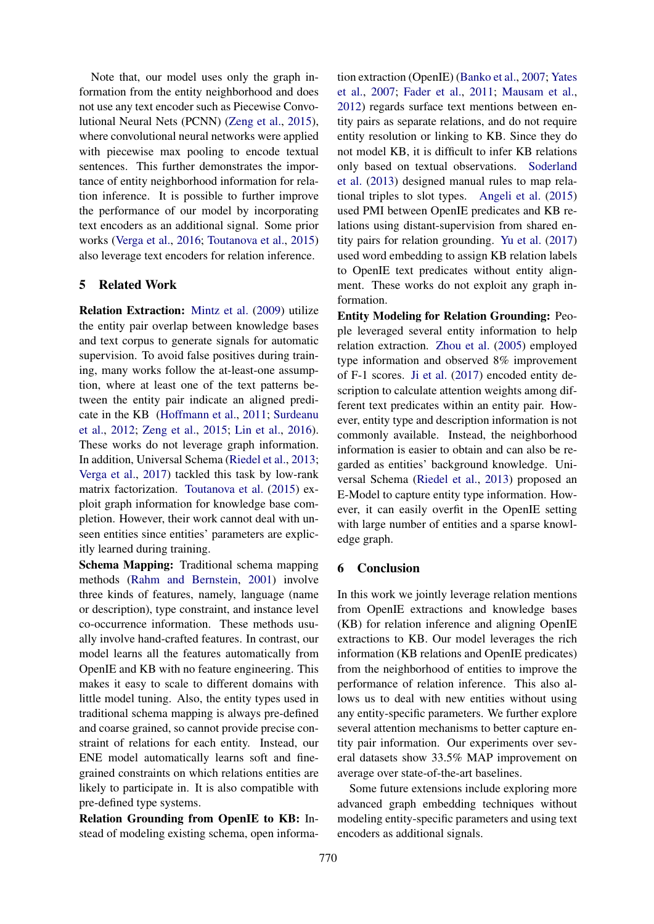Note that, our model uses only the graph information from the entity neighborhood and does not use any text encoder such as Piecewise Convolutional Neural Nets (PCNN) [\(Zeng et al.,](#page-10-7) [2015\)](#page-10-7), where convolutional neural networks were applied with piecewise max pooling to encode textual sentences. This further demonstrates the importance of entity neighborhood information for relation inference. It is possible to further improve the performance of our model by incorporating text encoders as an additional signal. Some prior works [\(Verga et al.,](#page-10-8) [2016;](#page-10-8) [Toutanova et al.,](#page-10-4) [2015\)](#page-10-4) also leverage text encoders for relation inference.

## <span id="page-8-0"></span>5 Related Work

Relation Extraction: [Mintz et al.](#page-9-0) [\(2009\)](#page-9-0) utilize the entity pair overlap between knowledge bases and text corpus to generate signals for automatic supervision. To avoid false positives during training, many works follow the at-least-one assumption, where at least one of the text patterns between the entity pair indicate an aligned predicate in the KB [\(Hoffmann et al.,](#page-9-19) [2011;](#page-9-19) [Surdeanu](#page-10-6) [et al.,](#page-10-6) [2012;](#page-10-6) [Zeng et al.,](#page-10-7) [2015;](#page-10-7) [Lin et al.,](#page-9-17) [2016\)](#page-9-17). These works do not leverage graph information. In addition, Universal Schema [\(Riedel et al.,](#page-9-9) [2013;](#page-9-9) [Verga et al.,](#page-10-2) [2017\)](#page-10-2) tackled this task by low-rank matrix factorization. [Toutanova et al.](#page-10-4) [\(2015\)](#page-10-4) exploit graph information for knowledge base completion. However, their work cannot deal with unseen entities since entities' parameters are explicitly learned during training.

Schema Mapping: Traditional schema mapping methods [\(Rahm and Bernstein,](#page-9-4) [2001\)](#page-9-4) involve three kinds of features, namely, language (name or description), type constraint, and instance level co-occurrence information. These methods usually involve hand-crafted features. In contrast, our model learns all the features automatically from OpenIE and KB with no feature engineering. This makes it easy to scale to different domains with little model tuning. Also, the entity types used in traditional schema mapping is always pre-defined and coarse grained, so cannot provide precise constraint of relations for each entity. Instead, our ENE model automatically learns soft and finegrained constraints on which relations entities are likely to participate in. It is also compatible with pre-defined type systems.

Relation Grounding from OpenIE to KB: Instead of modeling existing schema, open information extraction (OpenIE) [\(Banko et al.,](#page-9-1) [2007;](#page-9-1) [Yates](#page-10-1) [et al.,](#page-10-1) [2007;](#page-10-1) [Fader et al.,](#page-9-2) [2011;](#page-9-2) [Mausam et al.,](#page-9-5) [2012\)](#page-9-5) regards surface text mentions between entity pairs as separate relations, and do not require entity resolution or linking to KB. Since they do not model KB, it is difficult to infer KB relations only based on textual observations. [Soderland](#page-10-9) [et al.](#page-10-9) [\(2013\)](#page-10-9) designed manual rules to map relational triples to slot types. [Angeli et al.](#page-9-15) [\(2015\)](#page-9-15) used PMI between OpenIE predicates and KB relations using distant-supervision from shared entity pairs for relation grounding. [Yu et al.](#page-10-3) [\(2017\)](#page-10-3) used word embedding to assign KB relation labels to OpenIE text predicates without entity alignment. These works do not exploit any graph information.

Entity Modeling for Relation Grounding: People leveraged several entity information to help relation extraction. [Zhou et al.](#page-10-0) [\(2005\)](#page-10-0) employed type information and observed 8% improvement of F-1 scores. [Ji et al.](#page-9-20) [\(2017\)](#page-9-20) encoded entity description to calculate attention weights among different text predicates within an entity pair. However, entity type and description information is not commonly available. Instead, the neighborhood information is easier to obtain and can also be regarded as entities' background knowledge. Universal Schema [\(Riedel et al.,](#page-9-9) [2013\)](#page-9-9) proposed an E-Model to capture entity type information. However, it can easily overfit in the OpenIE setting with large number of entities and a sparse knowledge graph.

#### 6 Conclusion

In this work we jointly leverage relation mentions from OpenIE extractions and knowledge bases (KB) for relation inference and aligning OpenIE extractions to KB. Our model leverages the rich information (KB relations and OpenIE predicates) from the neighborhood of entities to improve the performance of relation inference. This also allows us to deal with new entities without using any entity-specific parameters. We further explore several attention mechanisms to better capture entity pair information. Our experiments over several datasets show 33.5% MAP improvement on average over state-of-the-art baselines.

Some future extensions include exploring more advanced graph embedding techniques without modeling entity-specific parameters and using text encoders as additional signals.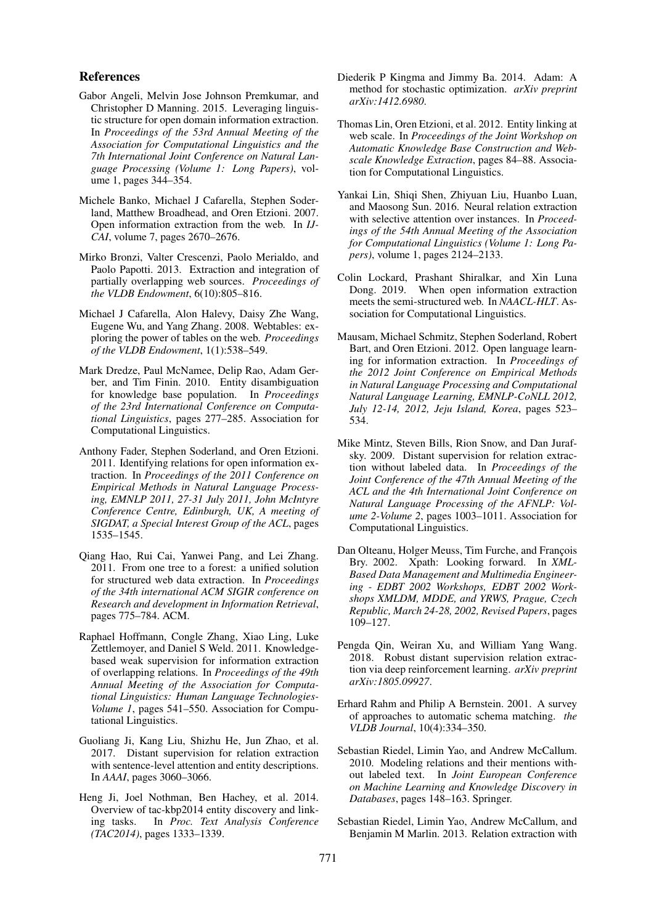#### References

- <span id="page-9-15"></span>Gabor Angeli, Melvin Jose Johnson Premkumar, and Christopher D Manning. 2015. Leveraging linguistic structure for open domain information extraction. In *Proceedings of the 53rd Annual Meeting of the Association for Computational Linguistics and the 7th International Joint Conference on Natural Language Processing (Volume 1: Long Papers)*, volume 1, pages 344–354.
- <span id="page-9-1"></span>Michele Banko, Michael J Cafarella, Stephen Soderland, Matthew Broadhead, and Oren Etzioni. 2007. Open information extraction from the web. In *IJ-CAI*, volume 7, pages 2670–2676.
- <span id="page-9-6"></span>Mirko Bronzi, Valter Crescenzi, Paolo Merialdo, and Paolo Papotti. 2013. Extraction and integration of partially overlapping web sources. *Proceedings of the VLDB Endowment*, 6(10):805–816.
- <span id="page-9-3"></span>Michael J Cafarella, Alon Halevy, Daisy Zhe Wang, Eugene Wu, and Yang Zhang. 2008. Webtables: exploring the power of tables on the web. *Proceedings of the VLDB Endowment*, 1(1):538–549.
- <span id="page-9-7"></span>Mark Dredze, Paul McNamee, Delip Rao, Adam Gerber, and Tim Finin. 2010. Entity disambiguation for knowledge base population. In *Proceedings of the 23rd International Conference on Computational Linguistics*, pages 277–285. Association for Computational Linguistics.
- <span id="page-9-2"></span>Anthony Fader, Stephen Soderland, and Oren Etzioni. 2011. Identifying relations for open information extraction. In *Proceedings of the 2011 Conference on Empirical Methods in Natural Language Processing, EMNLP 2011, 27-31 July 2011, John McIntyre Conference Centre, Edinburgh, UK, A meeting of SIGDAT, a Special Interest Group of the ACL*, pages 1535–1545.
- <span id="page-9-13"></span>Qiang Hao, Rui Cai, Yanwei Pang, and Lei Zhang. 2011. From one tree to a forest: a unified solution for structured web data extraction. In *Proceedings of the 34th international ACM SIGIR conference on Research and development in Information Retrieval*, pages 775–784. ACM.
- <span id="page-9-19"></span>Raphael Hoffmann, Congle Zhang, Xiao Ling, Luke Zettlemoyer, and Daniel S Weld. 2011. Knowledgebased weak supervision for information extraction of overlapping relations. In *Proceedings of the 49th Annual Meeting of the Association for Computational Linguistics: Human Language Technologies-Volume 1*, pages 541–550. Association for Computational Linguistics.
- <span id="page-9-20"></span>Guoliang Ji, Kang Liu, Shizhu He, Jun Zhao, et al. 2017. Distant supervision for relation extraction with sentence-level attention and entity descriptions. In *AAAI*, pages 3060–3066.
- <span id="page-9-8"></span>Heng Ji, Joel Nothman, Ben Hachey, et al. 2014. Overview of tac-kbp2014 entity discovery and linking tasks. In *Proc. Text Analysis Conference (TAC2014)*, pages 1333–1339.
- <span id="page-9-10"></span>Diederik P Kingma and Jimmy Ba. 2014. Adam: A method for stochastic optimization. *arXiv preprint arXiv:1412.6980*.
- <span id="page-9-14"></span>Thomas Lin, Oren Etzioni, et al. 2012. Entity linking at web scale. In *Proceedings of the Joint Workshop on Automatic Knowledge Base Construction and Webscale Knowledge Extraction*, pages 84–88. Association for Computational Linguistics.
- <span id="page-9-17"></span>Yankai Lin, Shiqi Shen, Zhiyuan Liu, Huanbo Luan, and Maosong Sun. 2016. Neural relation extraction with selective attention over instances. In *Proceedings of the 54th Annual Meeting of the Association for Computational Linguistics (Volume 1: Long Papers)*, volume 1, pages 2124–2133.
- <span id="page-9-11"></span>Colin Lockard, Prashant Shiralkar, and Xin Luna Dong. 2019. When open information extraction meets the semi-structured web. In *NAACL-HLT*. Association for Computational Linguistics.
- <span id="page-9-5"></span>Mausam, Michael Schmitz, Stephen Soderland, Robert Bart, and Oren Etzioni. 2012. Open language learning for information extraction. In *Proceedings of the 2012 Joint Conference on Empirical Methods in Natural Language Processing and Computational Natural Language Learning, EMNLP-CoNLL 2012, July 12-14, 2012, Jeju Island, Korea*, pages 523– 534.
- <span id="page-9-0"></span>Mike Mintz, Steven Bills, Rion Snow, and Dan Jurafsky. 2009. Distant supervision for relation extraction without labeled data. In *Proceedings of the Joint Conference of the 47th Annual Meeting of the ACL and the 4th International Joint Conference on Natural Language Processing of the AFNLP: Volume 2-Volume 2*, pages 1003–1011. Association for Computational Linguistics.
- <span id="page-9-12"></span>Dan Olteanu, Holger Meuss, Tim Furche, and François Bry. 2002. Xpath: Looking forward. In *XML-Based Data Management and Multimedia Engineering - EDBT 2002 Workshops, EDBT 2002 Workshops XMLDM, MDDE, and YRWS, Prague, Czech Republic, March 24-28, 2002, Revised Papers*, pages 109–127.
- <span id="page-9-18"></span>Pengda Qin, Weiran Xu, and William Yang Wang. 2018. Robust distant supervision relation extraction via deep reinforcement learning. *arXiv preprint arXiv:1805.09927*.
- <span id="page-9-4"></span>Erhard Rahm and Philip A Bernstein. 2001. A survey of approaches to automatic schema matching. *the VLDB Journal*, 10(4):334–350.
- <span id="page-9-16"></span>Sebastian Riedel, Limin Yao, and Andrew McCallum. 2010. Modeling relations and their mentions without labeled text. In *Joint European Conference on Machine Learning and Knowledge Discovery in Databases*, pages 148–163. Springer.
- <span id="page-9-9"></span>Sebastian Riedel, Limin Yao, Andrew McCallum, and Benjamin M Marlin. 2013. Relation extraction with